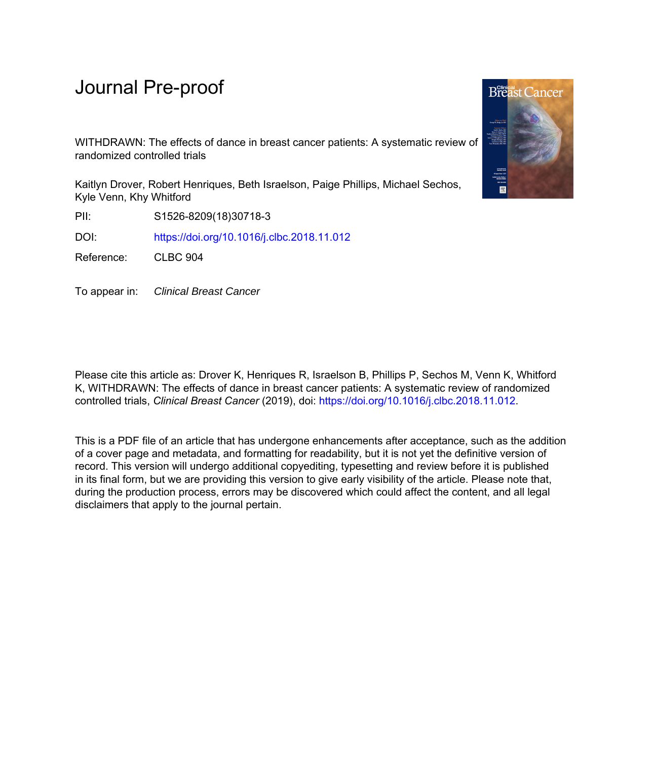## Journal Pre-proof

WITHDRAWN: The effects of dance in breast cancer patients: A systematic review of randomized controlled trials

Kaitlyn Drover, Robert Henriques, Beth Israelson, Paige Phillips, Michael Sechos, Kyle Venn, Khy Whitford

PII: S1526-8209(18)30718-3

DOI: <https://doi.org/10.1016/j.clbc.2018.11.012>

Reference: CLBC 904

To appear in: Clinical Breast Cancer

Please cite this article as: Drover K, Henriques R, Israelson B, Phillips P, Sechos M, Venn K, Whitford K, WITHDRAWN: The effects of dance in breast cancer patients: A systematic review of randomized controlled trials, *Clinical Breast Cancer* (2019), doi: <https://doi.org/10.1016/j.clbc.2018.11.012>.

This is a PDF file of an article that has undergone enhancements after acceptance, such as the addition of a cover page and metadata, and formatting for readability, but it is not yet the definitive version of record. This version will undergo additional copyediting, typesetting and review before it is published in its final form, but we are providing this version to give early visibility of the article. Please note that, during the production process, errors may be discovered which could affect the content, and all legal disclaimers that apply to the journal pertain.